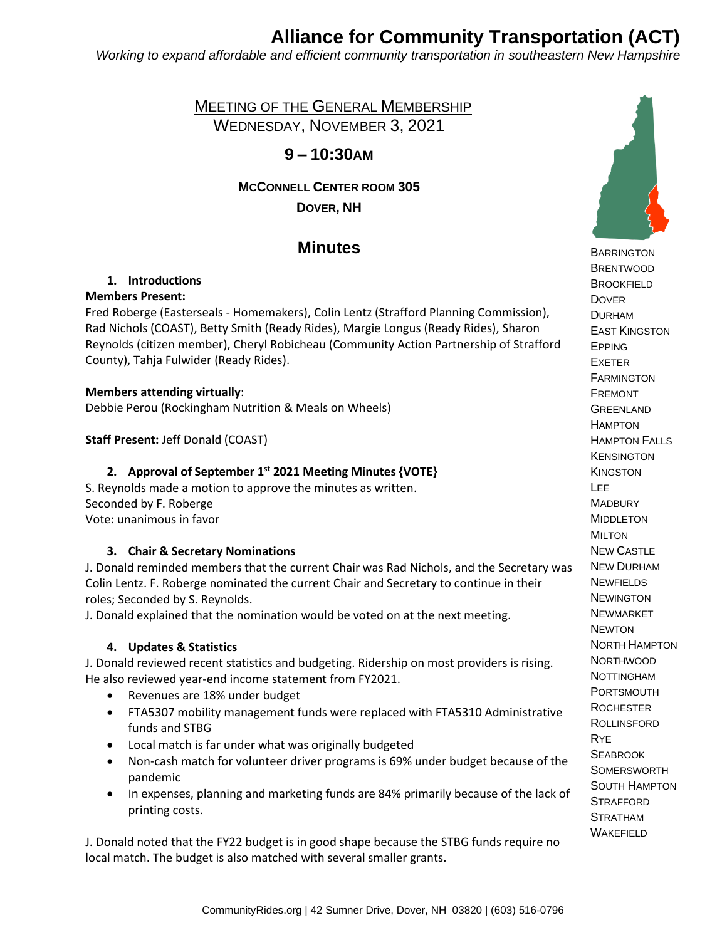# **Alliance for Community Transportation (ACT)**

*Working to expand affordable and efficient community transportation in southeastern New Hampshire*

 MEETING OF THE GENERAL MEMBERSHIP WEDNESDAY, NOVEMBER 3, 2021

# **9 – 10:30AM**

**MCCONNELL CENTER ROOM 305 DOVER, NH**

# **Minutes**

# **1. Introductions**

### **Members Present:**

Fred Roberge (Easterseals - Homemakers), Colin Lentz (Strafford Planning Commission), Rad Nichols (COAST), Betty Smith (Ready Rides), Margie Longus (Ready Rides), Sharon Reynolds (citizen member), Cheryl Robicheau (Community Action Partnership of Strafford County), Tahja Fulwider (Ready Rides).

### **Members attending virtually**:

Debbie Perou (Rockingham Nutrition & Meals on Wheels)

**Staff Present:** Jeff Donald (COAST)

# **2. Approval of September 1 st 2021 Meeting Minutes {VOTE}**

S. Reynolds made a motion to approve the minutes as written. Seconded by F. Roberge Vote: unanimous in favor

#### **3. Chair & Secretary Nominations**

J. Donald reminded members that the current Chair was Rad Nichols, and the Secretary was Colin Lentz. F. Roberge nominated the current Chair and Secretary to continue in their roles; Seconded by S. Reynolds.

J. Donald explained that the nomination would be voted on at the next meeting.

# **4. Updates & Statistics**

J. Donald reviewed recent statistics and budgeting. Ridership on most providers is rising. He also reviewed year-end income statement from FY2021.

- Revenues are 18% under budget
- FTA5307 mobility management funds were replaced with FTA5310 Administrative funds and STBG
- Local match is far under what was originally budgeted
- Non-cash match for volunteer driver programs is 69% under budget because of the pandemic
- In expenses, planning and marketing funds are 84% primarily because of the lack of printing costs.

J. Donald noted that the FY22 budget is in good shape because the STBG funds require no local match. The budget is also matched with several smaller grants.



**BARRINGTON BRENTWOOD BROOKFIELD DOVER**  DURHAM EAST KINGSTON EPPING EXETER **FARMINGTON**  FREMONT **GREENLAND HAMPTON**  HAMPTON FALLS **KENSINGTON KINGSTON**  LEE **MADBURY**  MIDDLETON MILTON NEW CASTLE NEW DURHAM **NEWFIELDS NEWINGTON**  NEWMARKET **NEWTON**  NORTH HAMPTON **NORTHWOOD**  NOTTINGHAM PORTSMOUTH **ROCHESTER**  ROLLINSFORD RYE **SEABROOK SOMERSWORTH**  SOUTH HAMPTON **STRAFFORD STRATHAM** WAKEFIELD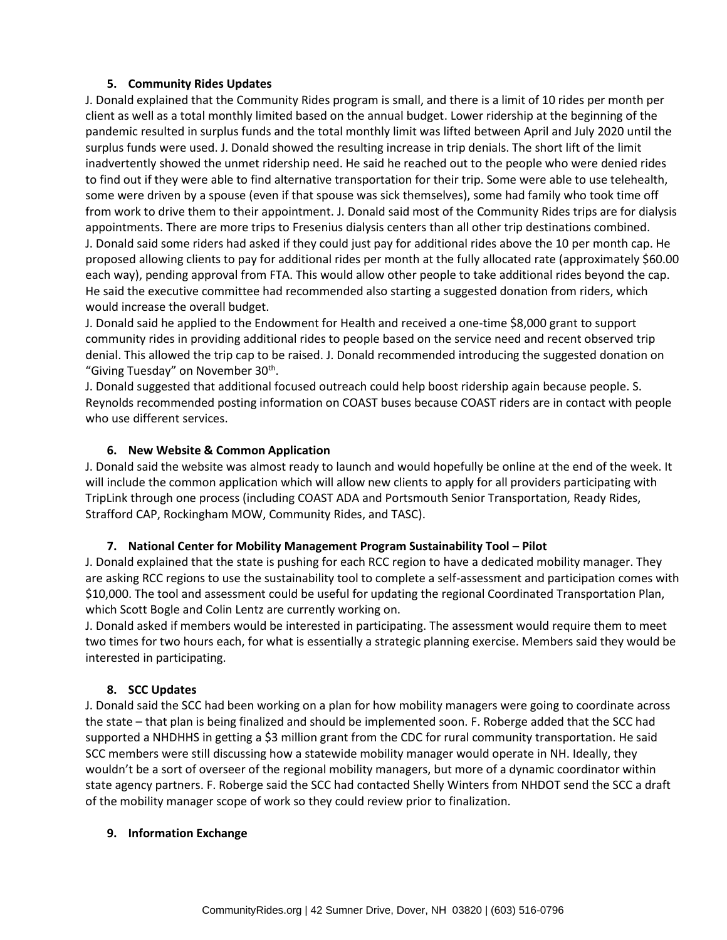#### **5. Community Rides Updates**

J. Donald explained that the Community Rides program is small, and there is a limit of 10 rides per month per client as well as a total monthly limited based on the annual budget. Lower ridership at the beginning of the pandemic resulted in surplus funds and the total monthly limit was lifted between April and July 2020 until the surplus funds were used. J. Donald showed the resulting increase in trip denials. The short lift of the limit inadvertently showed the unmet ridership need. He said he reached out to the people who were denied rides to find out if they were able to find alternative transportation for their trip. Some were able to use telehealth, some were driven by a spouse (even if that spouse was sick themselves), some had family who took time off from work to drive them to their appointment. J. Donald said most of the Community Rides trips are for dialysis appointments. There are more trips to Fresenius dialysis centers than all other trip destinations combined. J. Donald said some riders had asked if they could just pay for additional rides above the 10 per month cap. He proposed allowing clients to pay for additional rides per month at the fully allocated rate (approximately \$60.00 each way), pending approval from FTA. This would allow other people to take additional rides beyond the cap. He said the executive committee had recommended also starting a suggested donation from riders, which would increase the overall budget.

J. Donald said he applied to the Endowment for Health and received a one-time \$8,000 grant to support community rides in providing additional rides to people based on the service need and recent observed trip denial. This allowed the trip cap to be raised. J. Donald recommended introducing the suggested donation on "Giving Tuesday" on November 30<sup>th</sup>.

J. Donald suggested that additional focused outreach could help boost ridership again because people. S. Reynolds recommended posting information on COAST buses because COAST riders are in contact with people who use different services.

### **6. New Website & Common Application**

J. Donald said the website was almost ready to launch and would hopefully be online at the end of the week. It will include the common application which will allow new clients to apply for all providers participating with TripLink through one process (including COAST ADA and Portsmouth Senior Transportation, Ready Rides, Strafford CAP, Rockingham MOW, Community Rides, and TASC).

#### **7. National Center for Mobility Management Program Sustainability Tool – Pilot**

J. Donald explained that the state is pushing for each RCC region to have a dedicated mobility manager. They are asking RCC regions to use the sustainability tool to complete a self-assessment and participation comes with \$10,000. The tool and assessment could be useful for updating the regional Coordinated Transportation Plan, which Scott Bogle and Colin Lentz are currently working on.

J. Donald asked if members would be interested in participating. The assessment would require them to meet two times for two hours each, for what is essentially a strategic planning exercise. Members said they would be interested in participating.

#### **8. SCC Updates**

J. Donald said the SCC had been working on a plan for how mobility managers were going to coordinate across the state – that plan is being finalized and should be implemented soon. F. Roberge added that the SCC had supported a NHDHHS in getting a \$3 million grant from the CDC for rural community transportation. He said SCC members were still discussing how a statewide mobility manager would operate in NH. Ideally, they wouldn't be a sort of overseer of the regional mobility managers, but more of a dynamic coordinator within state agency partners. F. Roberge said the SCC had contacted Shelly Winters from NHDOT send the SCC a draft of the mobility manager scope of work so they could review prior to finalization.

#### **9. Information Exchange**